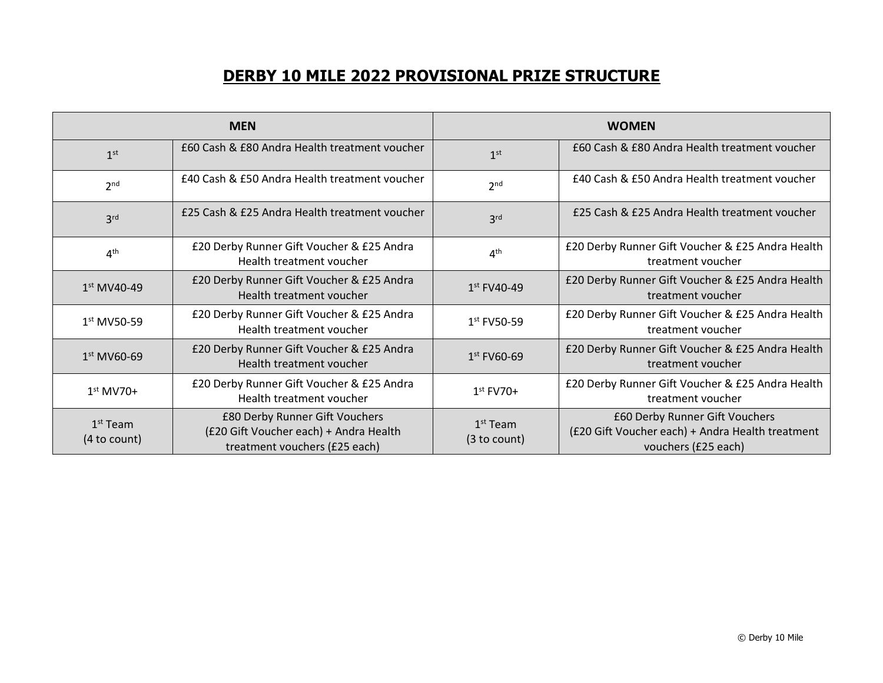## **DERBY 10 MILE 2022 PROVISIONAL PRIZE STRUCTURE**

| <b>MEN</b>                 |                                                                                                           | <b>WOMEN</b>               |                                                                                                           |
|----------------------------|-----------------------------------------------------------------------------------------------------------|----------------------------|-----------------------------------------------------------------------------------------------------------|
| 1 <sup>st</sup>            | £60 Cash & £80 Andra Health treatment voucher                                                             | 1 <sup>st</sup>            | £60 Cash & £80 Andra Health treatment voucher                                                             |
| 2 <sub>nd</sub>            | £40 Cash & £50 Andra Health treatment voucher                                                             | 2 <sub>nd</sub>            | £40 Cash & £50 Andra Health treatment voucher                                                             |
| 3 <sup>rd</sup>            | £25 Cash & £25 Andra Health treatment voucher                                                             | 3 <sup>rd</sup>            | £25 Cash & £25 Andra Health treatment voucher                                                             |
| 4 <sup>th</sup>            | £20 Derby Runner Gift Voucher & £25 Andra<br>Health treatment voucher                                     | 4 <sup>th</sup>            | £20 Derby Runner Gift Voucher & £25 Andra Health<br>treatment voucher                                     |
| $1st MVAO-49$              | £20 Derby Runner Gift Voucher & £25 Andra<br>Health treatment voucher                                     | $1st$ FV40-49              | £20 Derby Runner Gift Voucher & £25 Andra Health<br>treatment voucher                                     |
| 1st MV50-59                | £20 Derby Runner Gift Voucher & £25 Andra<br>Health treatment voucher                                     | $1st$ FV50-59              | £20 Derby Runner Gift Voucher & £25 Andra Health<br>treatment voucher                                     |
| $1st MV60-69$              | £20 Derby Runner Gift Voucher & £25 Andra<br>Health treatment voucher                                     | $1st$ FV60-69              | £20 Derby Runner Gift Voucher & £25 Andra Health<br>treatment voucher                                     |
| $1st$ MV70+                | £20 Derby Runner Gift Voucher & £25 Andra<br>Health treatment voucher                                     | $1st$ FV70+                | £20 Derby Runner Gift Voucher & £25 Andra Health<br>treatment voucher                                     |
| $1st$ Team<br>(4 to count) | £80 Derby Runner Gift Vouchers<br>(£20 Gift Voucher each) + Andra Health<br>treatment vouchers (£25 each) | $1st$ Team<br>(3 to count) | £60 Derby Runner Gift Vouchers<br>(£20 Gift Voucher each) + Andra Health treatment<br>vouchers (£25 each) |